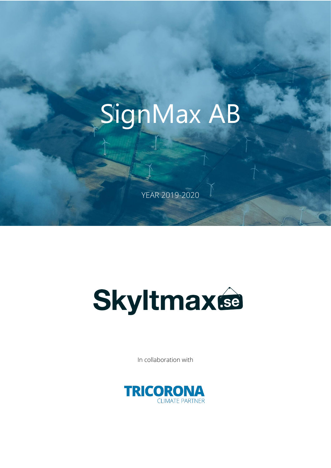# SignMax AB

YEAR 2019-2020



In collaboration with

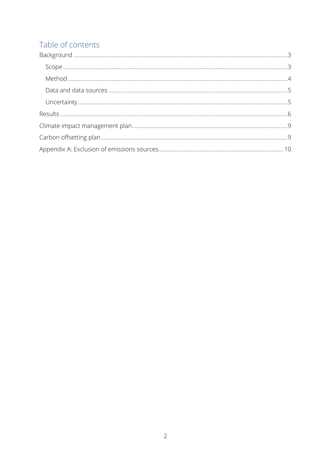# Table of contents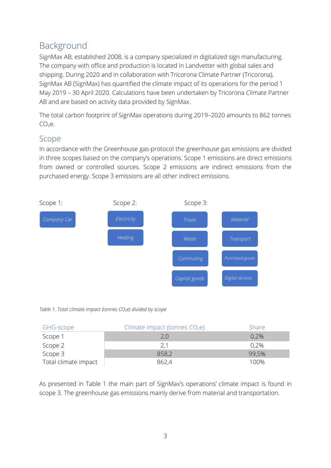# <span id="page-2-0"></span>Background

SignMax AB, established 2008, is a company specialized in digitalized sign manufacturing. The company with office and production is located in Landvetter with global sales and shipping. During 2020 and in collaboration with Tricorona Climate Partner (Tricorona), SignMax AB (SignMax) has quantified the climate impact of its operations for the period 1 May 2019 – 30 April 2020. Calculations have been undertaken by Tricorona Climate Partner AB and are based on activity data provided by SignMax.

The total carbon footprint of SignMax operations during 2019–2020 amounts to 862 tonnes  $CO<sub>2</sub>e.$ 

### <span id="page-2-1"></span>Scope

In accordance with the Greenhouse gas-protocol the greenhouse gas emissions are divided in three scopes based on the company's operations. Scope 1 emissions are direct emissions from owned or controlled sources. Scope 2 emissions are indirect emissions from the purchased energy. Scope 3 emissions are all other indirect emissions.



#### *Table 1. Total climate impact (tonnes CO2e) divided by scope*

| GHG-scope            | Climate impact (tonnes $CO2e$ ) | Share |
|----------------------|---------------------------------|-------|
| Scope 1              |                                 | 0.2%  |
| Scope 2              | 2,1                             | 0,2%  |
| Scope 3              | 858,2                           | 99,5% |
| Total climate impact | 862.4                           | 100%  |

As presented in Table 1 the main part of SignMax's operations' climate impact is found in scope 3. The greenhouse gas emissions mainly derive from material and transportation.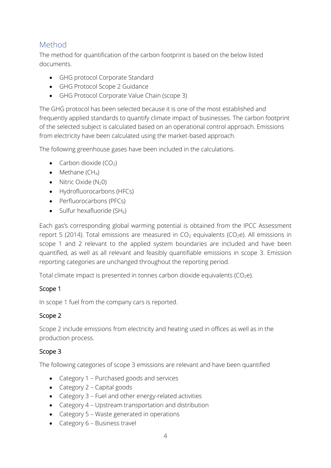## <span id="page-3-0"></span>Method

The method for quantification of the carbon footprint is based on the below listed documents.

- GHG protocol Corporate Standard
- GHG Protocol Scope 2 Guidance
- GHG Protocol Corporate Value Chain (scope 3)

The GHG protocol has been selected because it is one of the most established and frequently applied standards to quantify climate impact of businesses. The carbon footprint of the selected subject is calculated based on an operational control approach. Emissions from electricity have been calculated using the market-based approach.

The following greenhouse gases have been included in the calculations.

- Carbon dioxide  $(CO<sub>2</sub>)$
- Methane  $(CH_4)$
- Nitric Oxide  $(N_20)$
- Hydrofluorocarbons (HFCs)
- Perfluorocarbons (PFCs)
- Sulfur hexafluoride  $(SH_6)$

Each gas's corresponding global warming potential is obtained from the IPCC Assessment report 5 (2014). Total emissions are measured in  $CO<sub>2</sub>$  equivalents ( $CO<sub>2</sub>e$ ). All emissions in scope 1 and 2 relevant to the applied system boundaries are included and have been quantified, as well as all relevant and feasibly quantifiable emissions in scope 3. Emission reporting categories are unchanged throughout the reporting period.

Total climate impact is presented in tonnes carbon dioxide equivalents ( $CO<sub>2</sub>e$ ).

#### Scope 1

In scope 1 fuel from the company cars is reported.

#### Scope 2

Scope 2 include emissions from electricity and heating used in offices as well as in the production process.

#### Scope 3

The following categories of scope 3 emissions are relevant and have been quantified

- Category 1 Purchased goods and services
- Category 2 Capital goods
- Category 3 Fuel and other energy-related activities
- Category 4 Upstream transportation and distribution
- Category 5 Waste generated in operations
- Category 6 Business travel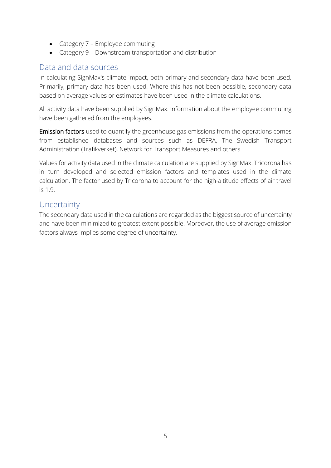- Category 7 Employee commuting
- Category 9 Downstream transportation and distribution

#### <span id="page-4-0"></span>Data and data sources

In calculating SignMax's climate impact, both primary and secondary data have been used. Primarily, primary data has been used. Where this has not been possible, secondary data based on average values or estimates have been used in the climate calculations.

All activity data have been supplied by SignMax. Information about the employee commuting have been gathered from the employees.

Emission factors used to quantify the greenhouse gas emissions from the operations comes from established databases and sources such as DEFRA, The Swedish Transport Administration (Trafikverket), Network for Transport Measures and others.

Values for activity data used in the climate calculation are supplied by SignMax. Tricorona has in turn developed and selected emission factors and templates used in the climate calculation. The factor used by Tricorona to account for the high-altitude effects of air travel is 1.9.

#### <span id="page-4-1"></span>**Uncertainty**

<span id="page-4-2"></span>The secondary data used in the calculations are regarded as the biggest source of uncertainty and have been minimized to greatest extent possible. Moreover, the use of average emission factors always implies some degree of uncertainty.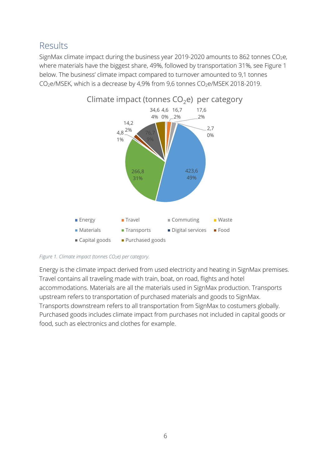# Results

SignMax climate impact during the business year 2019-2020 amounts to 862 tonnes  $CO<sub>2</sub>e$ , where materials have the biggest share, 49%, followed by transportation 31%, see Figure 1 below. The business' climate impact compared to turnover amounted to 9,1 tonnes CO<sub>2</sub>e/MSEK, which is a decrease by 4,9% from 9,6 tonnes CO<sub>2</sub>e/MSEK 2018-2019.



*Figure 1. Climate impact (tonnes CO2e) per category.*

Energy is the climate impact derived from used electricity and heating in SignMax premises. Travel contains all traveling made with train, boat, on road, flights and hotel accommodations. Materials are all the materials used in SignMax production. Transports upstream refers to transportation of purchased materials and goods to SignMax. Transports downstream refers to all transportation from SignMax to costumers globally. Purchased goods includes climate impact from purchases not included in capital goods or food, such as electronics and clothes for example.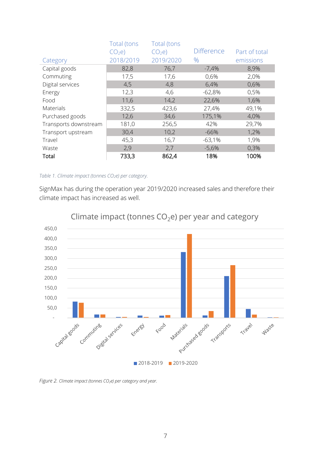|                       | Total (tons       | Total (tons       |                   |               |
|-----------------------|-------------------|-------------------|-------------------|---------------|
|                       | CO <sub>2</sub> e | CO <sub>2</sub> e | <b>Difference</b> | Part of total |
| Category              | 2018/2019         | 2019/2020         | $\%$              | emissions     |
| Capital goods         | 82,8              | 76,7              | $-7,4%$           | 8,9%          |
| Commuting             | 17,5              | 17,6              | 0,6%              | 2,0%          |
| Digital services      | 4,5               | 4,8               | 6,4%              | 0,6%          |
| Energy                | 12,3              | 4,6               | $-62,8%$          | 0,5%          |
| Food                  | 11,6              | 14,2              | 22,6%             | 1,6%          |
| Materials             | 332,5             | 423,6             | 27,4%             | 49,1%         |
| Purchased goods       | 12,6              | 34,6              | 175,1%            | 4,0%          |
| Transports downstream | 181,0             | 256,5             | 42%               | 29,7%         |
| Transport upstream    | 30,4              | 10,2              | $-66%$            | 1,2%          |
| Travel                | 45,3              | 16,7              | $-63,1%$          | 1,9%          |
| Waste                 | 2,9               | 2,7               | $-5,6%$           | 0,3%          |
| Total                 | 733,3             | 862,4             | 18%               | 100%          |

#### *Table 1. Climate impact (tonnes CO2e) per category.*

SignMax has during the operation year 2019/2020 increased sales and therefore their climate impact has increased as well.



Climate impact (tonnes  $CO<sub>2</sub>e$ ) per year and category

*Figure 2. Climate impact (tonnes CO2e) per category and year.*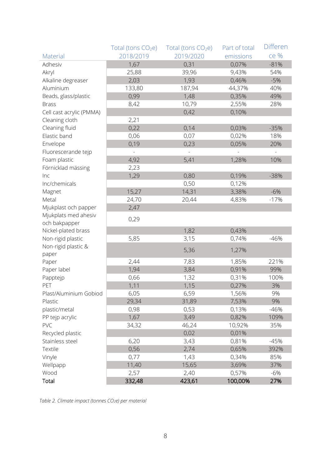|                          | Total (tons $CO2e$ ) | Total (tons $CO2e$ ) | Part of total | <b>Differen</b> |
|--------------------------|----------------------|----------------------|---------------|-----------------|
| Material                 | 2018/2019            | 2019/2020            | emissions     | ce %            |
| Adhesiv                  | 1,67                 | 0,31                 | 0,07%         | $-81%$          |
| Akryl                    | 25,88                | 39,96                | 9,43%         | 54%             |
| Alkaline degreaser       | 2,03                 | 1,93                 | 0,46%         | $-5%$           |
| Aluminium                | 133,80               | 187,94               | 44,37%        | 40%             |
| Beads, glass/plastic     | 0,99                 | 1,48                 | 0,35%         | 49%             |
| <b>Brass</b>             | 8,42                 | 10,79                | 2,55%         | 28%             |
| Cell cast acrylic (PMMA) |                      | 0,42                 | 0,10%         |                 |
| Cleaning cloth           | 2,21                 |                      |               |                 |
| Cleaning fluid           | 0,22                 | 0,14                 | 0,03%         | $-35%$          |
| Elastic band             | 0,06                 | 0,07                 | 0,02%         | 18%             |
| Envelope                 | 0,19                 | 0,23                 | 0,05%         | 20%             |
| Fluorescerande tejp      |                      |                      |               |                 |
| Foam plastic             | 4,92                 | 5,41                 | 1,28%         | 10%             |
| Förnicklad mässing       | 2,23                 |                      |               |                 |
| Inc                      | 1,29                 | 0,80                 | 0,19%         | $-38%$          |
| Inc/chemicals            |                      | 0,50                 | 0,12%         |                 |
| Magnet                   | 15,27                | 14,31                | 3,38%         | $-6%$           |
| Metal                    | 24,70                | 20,44                | 4,83%         | $-17%$          |
| Mjukplast och papper     | 2,47                 |                      |               |                 |
| Mjukplats med ahesiv     | 0,29                 |                      |               |                 |
| och bakpapper            |                      |                      |               |                 |
| Nickel-plated brass      |                      | 1,82                 | 0,43%         |                 |
| Non-rigid plastic        | 5,85                 | 3,15                 | 0,74%         | $-46%$          |
| Non-rigid plastic &      |                      | 5,36                 | 1,27%         |                 |
| paper                    |                      |                      |               |                 |
| Paper                    | 2,44                 | 7,83                 | 1,85%         | 221%            |
| Paper label              | 1,94                 | 3,84                 | 0,91%         | 99%             |
| Papptejp                 | 0,66                 | 1,32                 | 0,31%         | 100%            |
| PET                      | 1,11                 | 1,15                 | 0,27%         | 3%              |
| Plast/Aluminium Gobiod   | 6,05                 | 6,59                 | 1,56%         | 9%              |
| Plastic                  | 29,34                | 31,89                | 7,53%         | 9%              |
| plastic/metal            | 0,98                 | 0,53                 | 0,13%         | $-46%$          |
| PP tejp acrylic          | 1,67                 | 3,49                 | 0,82%         | 109%            |
| PVC                      | 34,32                | 46,24                | 10,92%        | 35%             |
| Recycled plastic         |                      | 0,02                 | 0,01%         |                 |
| Stainless steel          | 6,20                 | 3,43                 | 0,81%         | $-45%$          |
| Textile                  | 0,56                 | 2,74                 | 0,65%         | 392%            |
| Vinyle                   | 0,77                 | 1,43                 | 0,34%         | 85%             |
| Wellpapp                 | 11,40                | 15,65                | 3,69%         | 37%             |
| Wood                     | 2,57                 | 2,40                 | 0,57%         | $-6%$           |
| Total                    | 332,48               | 423,61               | 100,00%       | 27%             |

*Table 2. Climate impact (tonnes CO2e) per material*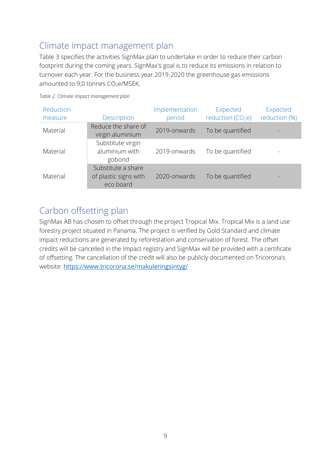# <span id="page-8-0"></span>Climate impact management plan

Table 3 specifies the activities SignMax plan to undertake in order to reduce their carbon footprint during the coming years. SignMax's goal is to reduce its emissions in relation to turnover each year. For the business year 2019-2020 the greenhouse gas emissions amounted to  $9.0$  tonnes  $CO<sub>2</sub>e/MSEK$ .

| Reduction<br>measure | Description                                              | Implementation<br>period | Expected<br>reduction $(CO2e)$ | Expected<br>reduction (%) |
|----------------------|----------------------------------------------------------|--------------------------|--------------------------------|---------------------------|
| Material             | Reduce the share of<br>virgin aluminium                  | 2019-onwards             | To be quantified               |                           |
| Material             | Substitute virgin<br>aluminium with<br>gobond            | 2019-onwards             | To be quantified               |                           |
| Material             | Substitute a share<br>of plastic signs with<br>eco board | 2020-onwards             | To be quantified               |                           |

*Table 2. Climate impact management plan*

# <span id="page-8-1"></span>Carbon offsetting plan

SignMax AB has chosen to offset through the project Tropical Mix. Tropical Mix is a land use forestry project situated in Panama. The project is verified by Gold Standard and climate impact reductions are generated by reforestation and conservation of forest. The offset credits will be cancelled in the Impact registry and SignMax will be provided with a certificate of offsetting. The cancellation of the credit will also be publicly documented on Tricorona's website: <https://www.tricorona.se/makuleringsintyg/>